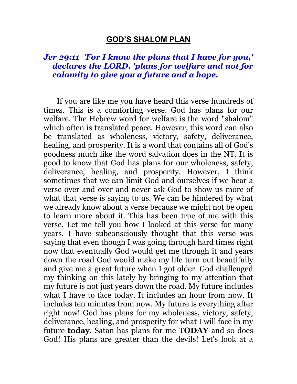#### **GOD'S SHALOM PLAN**

#### *Jer 29:11 'For I know the plans that I have for you,' declares the LORD, 'plans for welfare and not for calamity to give you a future and a hope.*

 If you are like me you have heard this verse hundreds of times. This is a comforting verse. God has plans for our welfare. The Hebrew word for welfare is the word "shalom" which often is translated peace. However, this word can also be translated as wholeness, victory, safety, deliverance, healing, and prosperity. It is a word that contains all of God's goodness much like the word salvation does in the NT. It is good to know that God has plans for our wholeness, safety, deliverance, healing, and prosperity. However, I think sometimes that we can limit God and ourselves if we hear a verse over and over and never ask God to show us more of what that verse is saying to us. We can be hindered by what we already know about a verse because we might not be open to learn more about it. This has been true of me with this verse. Let me tell you how I looked at this verse for many years. I have subconsciously thought that this verse was saying that even though I was going through hard times right now that eventually God would get me through it and years down the road God would make my life turn out beautifully and give me a great future when I got older. God challenged my thinking on this lately by bringing to my attention that my future is not just years down the road. My future includes what I have to face today. It includes an hour from now. It includes ten minutes from now. My future is everything after right now! God has plans for my wholeness, victory, safety, deliverance, healing, and prosperity for what I will face in my future **today**. Satan has plans for me **TODAY** and so does God! His plans are greater than the devils! Let's look at a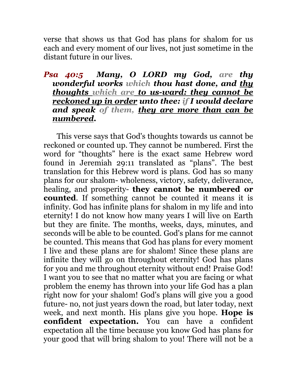verse that shows us that God has plans for shalom for us each and every moment of our lives, not just sometime in the distant future in our lives.

## *Psa 40:5 Many, O LORD my God, are thy wonderful works which thou hast done, and thy thoughts which are to us-ward: they cannot be reckoned up in order unto thee: if I would declare and speak of them, they are more than can be numbered.*

 This verse says that God's thoughts towards us cannot be reckoned or counted up. They cannot be numbered. First the word for "thoughts" here is the exact same Hebrew word found in Jeremiah 29:11 translated as "plans". The best translation for this Hebrew word is plans. God has so many plans for our shalom- wholeness, victory, safety, deliverance, healing, and prosperity- **they cannot be numbered or counted**. If something cannot be counted it means it is infinity. God has infinite plans for shalom in my life and into eternity! I do not know how many years I will live on Earth but they are finite. The months, weeks, days, minutes, and seconds will be able to be counted. God's plans for me cannot be counted. This means that God has plans for every moment I live and these plans are for shalom! Since these plans are infinite they will go on throughout eternity! God has plans for you and me throughout eternity without end! Praise God! I want you to see that no matter what you are facing or what problem the enemy has thrown into your life God has a plan right now for your shalom! God's plans will give you a good future- no, not just years down the road, but later today, next week, and next month. His plans give you hope. **Hope is confident expectation.** You can have a confident expectation all the time because you know God has plans for your good that will bring shalom to you! There will not be a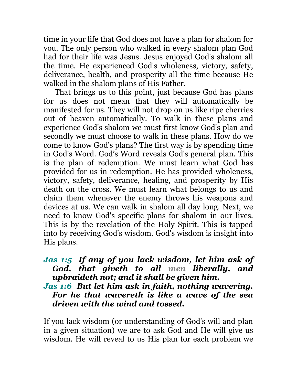time in your life that God does not have a plan for shalom for you. The only person who walked in every shalom plan God had for their life was Jesus. Jesus enjoyed God's shalom all the time. He experienced God's wholeness, victory, safety, deliverance, health, and prosperity all the time because He walked in the shalom plans of His Father.

 That brings us to this point, just because God has plans for us does not mean that they will automatically be manifested for us. They will not drop on us like ripe cherries out of heaven automatically. To walk in these plans and experience God's shalom we must first know God's plan and secondly we must choose to walk in these plans. How do we come to know God's plans? The first way is by spending time in God's Word. God's Word reveals God's general plan. This is the plan of redemption. We must learn what God has provided for us in redemption. He has provided wholeness, victory, safety, deliverance, healing, and prosperity by His death on the cross. We must learn what belongs to us and claim them whenever the enemy throws his weapons and devices at us. We can walk in shalom all day long. Next, we need to know God's specific plans for shalom in our lives. This is by the revelation of the Holy Spirit. This is tapped into by receiving God's wisdom. God's wisdom is insight into His plans.

# *Jas 1:5 If any of you lack wisdom, let him ask of God, that giveth to all men liberally, and upbraideth not; and it shall be given him.*

## *Jas 1:6 But let him ask in faith, nothing wavering. For he that wavereth is like a wave of the sea driven with the wind and tossed.*

If you lack wisdom (or understanding of God's will and plan in a given situation) we are to ask God and He will give us wisdom. He will reveal to us His plan for each problem we